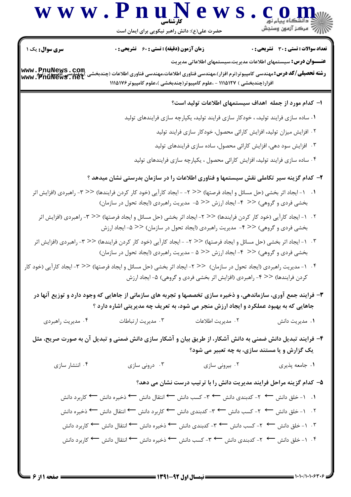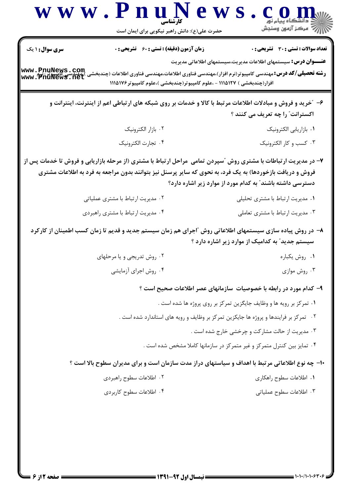| سری سوال: ۱ یک                      | <b>زمان آزمون (دقیقه) : تستی : 60 ٪ تشریحی : 0</b>                       | <b>تعداد سوالات : تستی : 30 - تشریحی : 0</b>                                                                                                                                                                                                                                                |
|-------------------------------------|--------------------------------------------------------------------------|---------------------------------------------------------------------------------------------------------------------------------------------------------------------------------------------------------------------------------------------------------------------------------------------|
| www.PnuNews.com<br> www.PnuNews.net | افزار(چندبخشی ) ۱۱۱۵۱۲۷ - ،علوم کامپیوتر(چندبخشی )،علوم کامپیوتر ۱۱۱۵۱۷۶ | <b>عنــــوان درس:</b> سیستمهای اطلاعات مدیریت،سیستمهای اطلاعاتی مدیریت<br><b>رشته تحصیلی/کد درس:</b> مهندسی کامپیوتر(نرم افزار)،مهندسی فناوری اطلاعات،مهندسی فناوری اطلاعات (چندبخشی                                                                                                        |
|                                     |                                                                          | ۶- ″خرید و فروش و مبادلات اطلاعات مرتبط با کالا و خدمات بر روی شبکه های ارتباطی اعم از اینترنت، اینترانت و<br>اکسترانت ؓ را چه تعریف می کنند ؟                                                                                                                                              |
|                                     | ٠٢ بازار الكترونيك                                                       | ٠١. بازاريابي الكترونيك                                                                                                                                                                                                                                                                     |
|                                     | ۰۴ تجارت الكترونيك                                                       | ۰۳ کسب و کار الکترونیک                                                                                                                                                                                                                                                                      |
|                                     |                                                                          | ۷- در مدیریت ارتباطات با مشتری روش ″سپردن تمامی ًمراحل ارتباط با مشتری (از مرحله بازاریابی و فروش تا خدمات پس از<br>فروش و دریافت بازخوردها) به یک فرد، به نحوی که سایر پرسنل نیز بتوانند بدون مراجعه به فرد به اطلاعات مشتری<br>دسترسی داشته باشند ّ به کدام مورد از موارد زیر اشاره دارد؟ |
|                                     | ۰۲ مدیریت ارتباط با مشتری عملیاتی                                        | ٠١ مديريت ارتباط با مشترى تحليلى                                                                                                                                                                                                                                                            |
|                                     | ۰۴ مدیریت ارتباط با مشتری راهبردی                                        | ۰۳ مدیریت ارتباط با مشتری تعاملی                                                                                                                                                                                                                                                            |
|                                     |                                                                          | ۸– در روش پیاده سازی سیستمهای اطلاعاتی روش ″اجرای هم زمان سیستم جدید و قدیم تا زمان کسب اطمینان از کارکرد<br>سیستم جدید ؒ به کدامیک از موارد زیر اشاره دارد ؟                                                                                                                               |
|                                     | ۰۲ روش تدریجی و یا مرحلهای                                               | ٠١ روش يكباره                                                                                                                                                                                                                                                                               |
|                                     | ۰۴ روش اجرای آزمایشی                                                     | ۰۳ روش موازی                                                                                                                                                                                                                                                                                |
|                                     |                                                                          | ۹– کدام مورد در رابطه با خصوصیات سازمانهای عصر اطلاعات صحیح است ؟                                                                                                                                                                                                                           |
|                                     |                                                                          | ۰۱ تمرکز بر رویه ها و وظایف جایگزین تمرکز بر روی پروژه ها شده است .                                                                                                                                                                                                                         |
|                                     |                                                                          | ۰۲ تمرکز بر فرایندها و پروژه ها جایکزین تمرکز بر وظایف و رویه های استاندارد شده است .                                                                                                                                                                                                       |
|                                     |                                                                          | ۰۳ مدیریت از حالت مشارکت و چرخشی خارج شده است .                                                                                                                                                                                                                                             |
|                                     |                                                                          | ۰۴ تمایز بین کنترل متمرکز و غیر متمرکز در سازمانها کاملا مشخص شده است .                                                                                                                                                                                                                     |
|                                     |                                                                          | <b>۱۰- چه نوع اطلاعاتی مرتبط با اهداف و سیاستهای دراز مدت سازمان است و برای مدیران سطوح بالا است</b> ؟                                                                                                                                                                                      |
|                                     | ٠٢ اطلاعات سطوح راهبردي                                                  | ۰۱ اطلاعات سطوح راهکاری                                                                                                                                                                                                                                                                     |
|                                     | ۰۴ اطلاعات سطوح کاربردی                                                  | ۰۳ اطلاعات سطوح عملياتي                                                                                                                                                                                                                                                                     |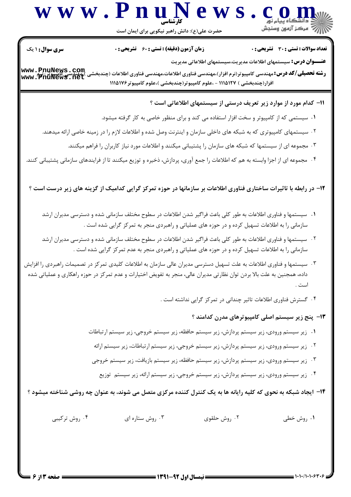## كارشناسي **w** w w . **P n u N e w s** . **c o m**<br> $\sum_{i=1}^{n}$

حضرت علي(ع): دانش راهبر نيكويي براي ايمان است

تعداد سوالات : تستي تشريحي زمان آزمون (دقيقه) : تستي تشريحي سري سوال ) ( +: ,+: + \*+: : :

**عنــــوان درس:** سیستمهای اطلاعات مدیریت،سیستمهای اطلاعاتی مدیریت

. Filling of the Syday of the Syday of Syday and Diversion . Filling and the Syday in the Syday and the Syday<br>و**شته تحصیلی/کد درس:** مهندسی کامپیوتر(نرم افزار)،مهندسی فناوری اطلاعات،مهندسی فناوری اطلاعات (چندبخشی )،<del>مهندسی</del> افزار(چندبخشی ) ۱۱۱۵۱۲۷ - ،علوم کامپیوتر(چندبخشی )،علوم کامپیوتر۱۱۱۵۱۷۶ **[www.PnuNews.com](http://pnunews.com) [www.PnuNews.net](http://pnunews.net)**

اا– کدام مورد از موارد زیر تعریف درستی از سیستمهای اطلاعاتی است ؟

- ۱. سیستمی که از کامپیوتر و سخت افزار استفاده می کند و برای منظور خاصی به کار گرفته میشود.
- ۲  $\cdot$  سیستمهای کامپیوتری که به شبکه های داخلی سازمان و اینترنت وصل شده و اطلاعات لازم را در زمینه خاصی ارائه میدهند.
	- ۰۳ مجموعه ای از سیستمها که شبکه های سازمان را پشتیبانی میکنند و اطلاعات مورد نیاز کاربران را فراهم میکنند.
- ۴ مجموعه ای از اجزا وابسته به هم که اطلاعات را جمع آوری، پردازش، ذخیره و توزیع میکنند تا از فرایندهای سازمانی پشتیبانی کنند.

**۱۲**- در رابطه با تاثیرات ساختاری فناوری اطلاعات بر سازمانها در حوزه تمرکز گرایی کدامیک از گزینه های زیر درست است ؟

- ا . سيستمها و فناوري اطلاعات به طور كلي باعث فراگير شدن اطلاعات در سطوح مختلف سازماني شده و دسترسي مديران ارشد سازمانی را به اطلاعات تسهیل کرده و در حوزه های عملیاتی و راهبردی منجر به تمرکز گرایی شده است .
- ۰۲ سیستمها و فناوری اطلاعات به طور کلی باعث فراگیر شدن اطلاعات در سطوح مختلف سازمانی شده و دسترسی مدیران ارشد سازمانی را به اطلاعات تسهیل کرده و در حوزه های عملیاتی و راهبردی منجر به عدم تمرکز گرایی شده است .
- ۰۳ سیستمها و فناوری اطلاعات به علت تسهیل دسترسی مدیران عالی سازمان به اطلاعات کلیدی تمرکز در تصمیمات راهبردی را افزایش داده، همجنين به علت بالا بردن توان نظارتي مديران عالي، منجر به تفويض اختيارات و عدم تمركز در حوزه راهكاري و عملياتي شده ست .

۴  $\cdot$  گسترش فناوری اطلاعات تاثیر چندانی در تمرکز گرایی نداشته است .

۱۳– پنج زیر سیستم اصلی کامپیوترهای مدرن کدامند ؟

- ۰۱ زیر سیستم ورودی، زیر سیستم پردازش، زیر سیستم حافظه، زیر سیستم خروجی، زیر سیستم ارتباطات
- ۰۲ زیر سیستم ورودی، زیر سیستم پردازش، زیر سیستم خروجی، زیر سیستم ارتباطات، زیر سیستم ارائه
- ۰۳ زیر سیستم ورودی، زیر سیستم پردازش، زیر سیستم حافظه، زیر سیستم بازیافت، زیر سیستم خروجی t
	- b a15- 
	  a15- 
	 H3
	 a15- 
	 =
	F a15- 
	 33 a15- &

۱۴- ایجاد شبکه به نحوی که کلیه رایانه ها به یک کنترل کننده مرکزی متصل می شوند، به عنوان چه روشی شناخته میشود ؟

۰۴ روش ترکیبی ۰۹ روش خطی سال ۲۰۰ روش حلقوی سال ۲۰۰ روش ستاره ای مسلم ۲۰۰ روش تر ک $\cdot$ ۴ روش تر ک $\cdot$ ۰ (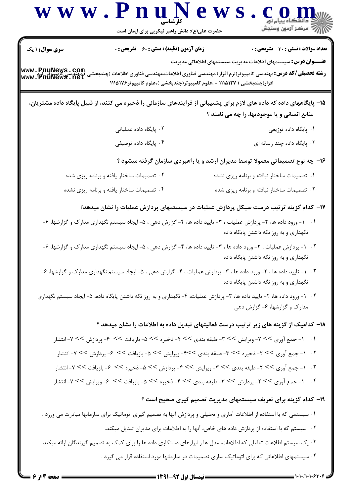|                                                               | www.PnuNews<br>حضرت علی(ع): دانش راهبر نیکویی برای ایمان است |                                                                                                                                                                                                                                                                                                                  |
|---------------------------------------------------------------|--------------------------------------------------------------|------------------------------------------------------------------------------------------------------------------------------------------------------------------------------------------------------------------------------------------------------------------------------------------------------------------|
| <b>سری سوال : ۱ یک</b><br>www.PnuNews.com<br> www.PnuNews.net | <b>زمان آزمون (دقیقه) : تستی : 60 ٪ تشریحی : 0</b>           | <b>تعداد سوالات : تستی : 30 - تشریحی : 0</b><br><b>عنــــوان درس:</b> سیستمهای اطلاعات مدیریت،سیستمهای اطلاعاتی مدیریت<br><b>رشته تحصیلی/گد درس:</b> مهندسی کامپیوتر(نرم افزار)،مهندسی فناوری اطلاعات،مهندسی فناوری اطلاعات (چندبخشی<br>افزار(چندبخشی ) ۱۱۱۵۱۲۷ - ،علوم کامپیوتر(چندبخشی )،علوم کامپیوتر ۱۱۱۵۱۷۶ |
|                                                               |                                                              | 1۵– پایگاههای داده که داده های لازم برای پشتیبانی از فرایندهای سازمانی را ذخیره می کنند، از قبیل پایگاه داده مشتریان،<br>منابع انسانی و یا موجودیها، را چه می نامند ؟                                                                                                                                            |
|                                                               | ۰۲ پایگاه داده عملیاتی                                       | ۰۱ پایگاه داده توزیعی                                                                                                                                                                                                                                                                                            |
|                                                               | ۰۴ پایگاه داده توصیفی                                        | ۰۳ پایگاه داده چند رسانه ای                                                                                                                                                                                                                                                                                      |
|                                                               |                                                              | ۱۶- چه نوع تصمیماتی معمولا توسط مدیران ارشد و یا راهبردی سازمان گرفته میشود ؟                                                                                                                                                                                                                                    |
|                                                               | ۰۲ تصمیمات ساختار یافته و برنامه ریزی شده                    | ۰۱ تصمیمات ساختار نیافته و برنامه ریزی نشده                                                                                                                                                                                                                                                                      |
|                                                               | ۰۴ تصمیمات ساختار یافته و برنامه ریزی نشده                   | ۰۳ تصمیمات ساختار نیافته و برنامه ریزی شده                                                                                                                                                                                                                                                                       |
|                                                               |                                                              | ۱۷– کدام گزینه ترتیب درست سیکل پردازش عملیات در سیستمهای پردازش عملیات را نشان میدهد؟                                                                                                                                                                                                                            |
|                                                               |                                                              | ۰۱ - ۱ - ورود داده ها، ۲- پردازش عملیات ، ۳- تایید داده ها، ۴- گزارش دهی ، ۵- ایجاد سیستم نگهداری مدارک و گزارشها، ۶-<br>نگهداری و به روز نگه داشتن پایگاه داده                                                                                                                                                  |
|                                                               |                                                              | ۰۲ - پردازش عملیات ، ۲- ورود داده ها ، ۳- تایید داده ها، ۴- گزارش دهی ، ۵- ایجاد سیستم نگهداری مدارک و گزارشها، ۶-<br>نگهداری و به روز نگه داشتن پایگاه داده                                                                                                                                                     |
|                                                               |                                                              | ۰۳ - ۱ - تایید داده ها ، ۲- ورود داده ها ، ۳- پردازش عملیات ، ۴- گزارش دهی ، ۵- ایجاد سیستم نگهداری مدارک و گزارشها، ۶-<br>نگهداری و به روز نگه داشتن پایگاه داده                                                                                                                                                |
|                                                               |                                                              | ۰۴ - ورود داده ها، ۲- تایید داده ها، ۳- پردازش عملیات، ۴- نگهداری و به روز نگه داشتن پایگاه داده، ۵- ایجاد سیستم نگهداری<br>مدارک و گزارشها، ۶- گزارش دهی                                                                                                                                                        |
|                                                               |                                                              | ۱۸– کدامیک از گزینه های زیر ترتیب درست فعالیتهای تبدیل داده به اطلاعات را نشان میدهد ؟                                                                                                                                                                                                                           |
|                                                               |                                                              | ۰۱     ۱- جمع أوري >> ٢- ويرايش >> ٣- طبقه بندي >> ۴- ذخيره >> ۵- بازيافت >>  ۶- پردازش >> ٧- انتشار                                                                                                                                                                                                             |
|                                                               |                                                              | ۲. ۱- جمع آوری >> ۲- ذخیره >> ۳- طبقه بندی >>۴- ویرایش >> ۵- بازیافت >> ۶- پردازش >> ۷- انتشار                                                                                                                                                                                                                   |
|                                                               |                                                              | ۳.   ۱- جمع آوری >> ۲- طبقه بندی >> ۳- ویرایش >> ۴- پردازش >> ۵- ذخیره >>  ۶- بازیافت >> ۷- انتشار                                                                                                                                                                                                               |
|                                                               |                                                              | ۰۴     ۱- جمع آوری >> ۲- پردازش >> ۳- طبقه بندی >> ۴- ذخیره >> ۵- بازیافت >>  ۶- ویرایش >> ۷- انتشار                                                                                                                                                                                                             |
|                                                               |                                                              | ۱۹- کدام گزینه برای تعریف سیستمهای مدیریت تصمیم گیری صحیح است ؟                                                                                                                                                                                                                                                  |
|                                                               |                                                              | ۰۱ سیستمی که با استفاده از اطلاعات آماری و تحلیلی و پردازش آنها به تصمیم گیری اتوماتیک برای سازمانها مبادرت می ورزد .                                                                                                                                                                                            |
|                                                               |                                                              | ۰۲ سیستم که با استفاده از پردازش داده های خاص، آنها را به اطلاعات برای مدیران تبدیل میکند.                                                                                                                                                                                                                       |
|                                                               |                                                              | ۰۳ یک سیستم اطلاعات تعاملی که اطلاعات، مدل ها و ابزارهای دستکاری داده ها را برای کمک به تصمیم گیرندگان ارائه میکند .                                                                                                                                                                                             |
|                                                               |                                                              | ۰۴ سیستمهای اطلاعاتی که برای اتوماتیک سازی تصمیمات در سازمانها مورد استفاده قرار می گیرد .                                                                                                                                                                                                                       |
| = صفحه ۱۴ز ۶ =                                                |                                                              | $\longrightarrow$ $\longleftarrow$ $\longmapsto$ $\longmapsto$ $\longmapsto$ $\longmapsto$                                                                                                                                                                                                                       |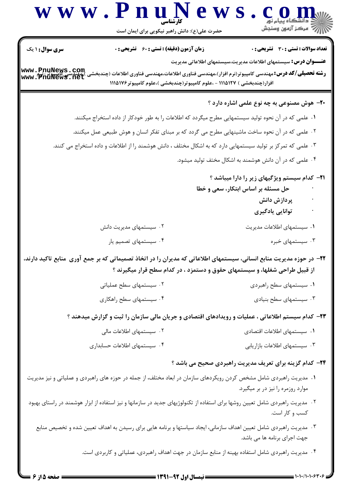|                                     | حضرت علی(ع): دانش راهبر نیکویی برای ایمان است                            | رد دانشڪاه پيام نور<br>¶7⁄ مرڪز آزمون وسنجش                                                                                                                                                        |
|-------------------------------------|--------------------------------------------------------------------------|----------------------------------------------------------------------------------------------------------------------------------------------------------------------------------------------------|
| <b>سری سوال :</b> ۱ یک              | <b>زمان آزمون (دقیقه) : تستی : 60 ٪ تشریحی : 0</b>                       | <b>تعداد سوالات : تستی : 30 ٪ تشریحی : 0</b>                                                                                                                                                       |
| www.PnuNews.com<br> www.PnuNews.net | افزار(چندبخشی ) ۱۱۱۵۱۲۷ - ،علوم کامپیوتر(چندبخشی )،علوم کامپیوتر ۱۱۱۵۱۷۶ | <b>عنــــوان درس:</b> سیستمهای اطلاعات مدیریت،سیستمهای اطلاعاتی مدیریت<br><b>رشته تحصیلی/کد درس:</b> مهندسی کامپیوتر(نرم افزار)،مهندسی فناوری اطلاعات،مهندسی فناوری اطلاعات (چندبخشی               |
|                                     |                                                                          | <b>۲۰</b> - هوش مصنوعی به چه نوع علمی اشاره دارد ؟                                                                                                                                                 |
|                                     |                                                                          | ۰۱ علمی که در آن نحوه تولید سیستمهایی مطرح میگردد که اطلاعات را به طور خودکار از داده استخراج میکنند.                                                                                              |
|                                     |                                                                          | ۰۲ علمی که در آن نحوه ساخت ماشینهایی مطرح می گردد که بر مبنای تفکر انسان و هوش طبیعی عمل میکنند.                                                                                                   |
|                                     |                                                                          | ۰۳ علمی که تمرکز بر تولید سیستمهایی دارد که به اشکال مختلف ، دانش هوشمند را از اطلاعات و داده استخراج می کنند.                                                                                     |
|                                     |                                                                          | ۰۴ علمی که در آن دانش هوشمند به اشکال مختف تولید میشود.                                                                                                                                            |
|                                     |                                                                          | <b>۲۱</b> - کدام سیستم ویژگیهای زیر را دارا میباشد ؟<br>حل مسئله بر اساس ابتکار، سعی و خطا<br>پردازش دانش<br>توانایی یادگیری                                                                       |
|                                     | ۰۲ سیستمهای مدیریت دانش                                                  | ۰۱ سیستمهای اطلاعات مدیریت                                                                                                                                                                         |
|                                     | ۰۴ سیستمهای تصمیم یار                                                    | ۰۳ سیستمهای خبره                                                                                                                                                                                   |
|                                     |                                                                          | ۲۲– در حوزه مدیریت منابع انسانی، سیستمهای اطلاعاتی که مدیران را در اتخاذ تصمیماتی که بر جمع آوری ًمنابع تاکید دارند،<br>از قبیل طراحی شغلها، و سیستمهای حقوق و دستمزد ، در کدام سطح قرار میگیرند ؟ |
|                                     | ۰۲ سیستمهای سطح عملیاتی                                                  | ۰۱ سیستمهای سطح راهبردی                                                                                                                                                                            |
|                                     | ۰۴ سیستمهای سطح راهکاری                                                  | ۰۳ سیستمهای سطح بنیادی                                                                                                                                                                             |
|                                     |                                                                          | ۲۳– کدام سیستم اطلاعاتی ، عملیات و رویدادهای اقتصادی و جریان مالی سازمان را ثبت و گزارش میدهند ؟                                                                                                   |
|                                     | ۰۲ سیستمهای اطلاعات مالی                                                 | ٠١ سيستمهاى اطلاعات اقتصادى                                                                                                                                                                        |
|                                     | ۰۴ سیستمهای اطلاعات حسابداری                                             | ۰۳ سیستمهای اطلاعات بازاریابی                                                                                                                                                                      |
|                                     |                                                                          | <b>34</b> - کدام گزینه برای تعریف مدیریت راهبردی صحیح می باشد ؟                                                                                                                                    |
|                                     |                                                                          | ۰۱ مدیریت راهبردی شامل مشخص کردن رویکردهای سازمان در ابعاد مختلف، از جمله در حوزه های راهبردی و عملیاتی و نیز مدیریت<br>موارد روزمره را نیز در بر میگیرد.                                          |
|                                     |                                                                          | <sup>۲</sup> ۰ مدیریت راهبردی شامل تعیین روشها برای استفاده از تکنولوژیهای جدید در سازمانها و نیز استفاده از ابزار هوشمند در راستای بهبود<br>کسب و کار است.                                        |
|                                     |                                                                          | ۰۳ مدیریت راهبردی شامل تعیین اهداف سازمانی، ایجاد سیاستها و برنامه هایی برای رسیدن به اهداف تعیین شده و تخصیص منابع<br>جهت اجرای برنامه ها می باشد.                                                |
|                                     |                                                                          | ۰۴ مدیریت راهبردی شامل استفاده بهینه از منابع سازمان در جهت اهداف راهبردی، عملیاتی و کاربردی است.                                                                                                  |